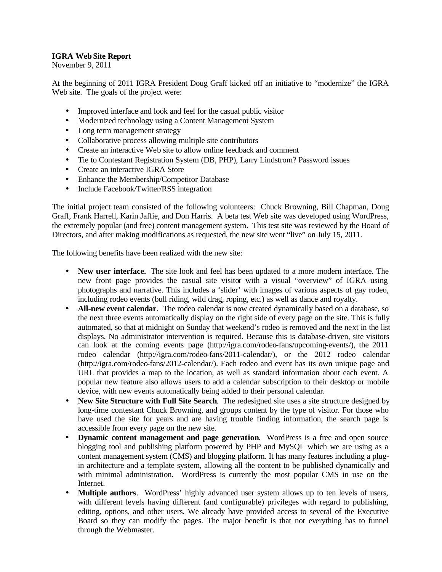## **IGRA Web Site Report**

November 9, 2011

At the beginning of 2011 IGRA President Doug Graff kicked off an initiative to "modernize" the IGRA Web site. The goals of the project were:

- Improved interface and look and feel for the casual public visitor
- Modernized technology using a Content Management System
- Long term management strategy
- Collaborative process allowing multiple site contributors
- Create an interactive Web site to allow online feedback and comment
- Tie to Contestant Registration System (DB, PHP), Larry Lindstrom? Password issues
- Create an interactive IGRA Store
- Enhance the Membership/Competitor Database
- Include Facebook/Twitter/RSS integration

The initial project team consisted of the following volunteers: Chuck Browning, Bill Chapman, Doug Graff, Frank Harrell, Karin Jaffie, and Don Harris. A beta test Web site was developed using WordPress, the extremely popular (and free) content management system. This test site was reviewed by the Board of Directors, and after making modifications as requested, the new site went "live" on July 15, 2011.

The following benefits have been realized with the new site:

- **New user interface.** The site look and feel has been updated to a more modern interface. The new front page provides the casual site visitor with a visual "overview" of IGRA using photographs and narrative. This includes a 'slider' with images of various aspects of gay rodeo, including rodeo events (bull riding, wild drag, roping, etc.) as well as dance and royalty.
- **All-new event calendar**. The rodeo calendar is now created dynamically based on a database, so the next three events automatically display on the right side of every page on the site. This is fully automated, so that at midnight on Sunday that weekend's rodeo is removed and the next in the list displays. No administrator intervention is required. Because this is database-driven, site visitors can look at the coming events page (http://igra.com/rodeo-fans/upcoming-events/), the 2011 rodeo calendar (http://igra.com/rodeo-fans/2011-calendar/), or the 2012 rodeo calendar (http://igra.com/rodeo-fans/2012-calendar/). Each rodeo and event has its own unique page and URL that provides a map to the location, as well as standard information about each event. A popular new feature also allows users to add a calendar subscription to their desktop or mobile device, with new events automatically being added to their personal calendar.
- **New Site Structure with Full Site Search**. The redesigned site uses a site structure designed by long-time contestant Chuck Browning, and groups content by the type of visitor. For those who have used the site for years and are having trouble finding information, the search page is accessible from every page on the new site.
- **Dynamic content management and page generation**. WordPress is a free and open source blogging tool and publishing platform powered by PHP and MySQL which we are using as a content management system (CMS) and blogging platform. It has many features including a plugin architecture and a template system, allowing all the content to be published dynamically and with minimal administration. WordPress is currently the most popular CMS in use on the Internet.
- **Multiple authors**. WordPress' highly advanced user system allows up to ten levels of users, with different levels having different (and configurable) privileges with regard to publishing, editing, options, and other users. We already have provided access to several of the Executive Board so they can modify the pages. The major benefit is that not everything has to funnel through the Webmaster.